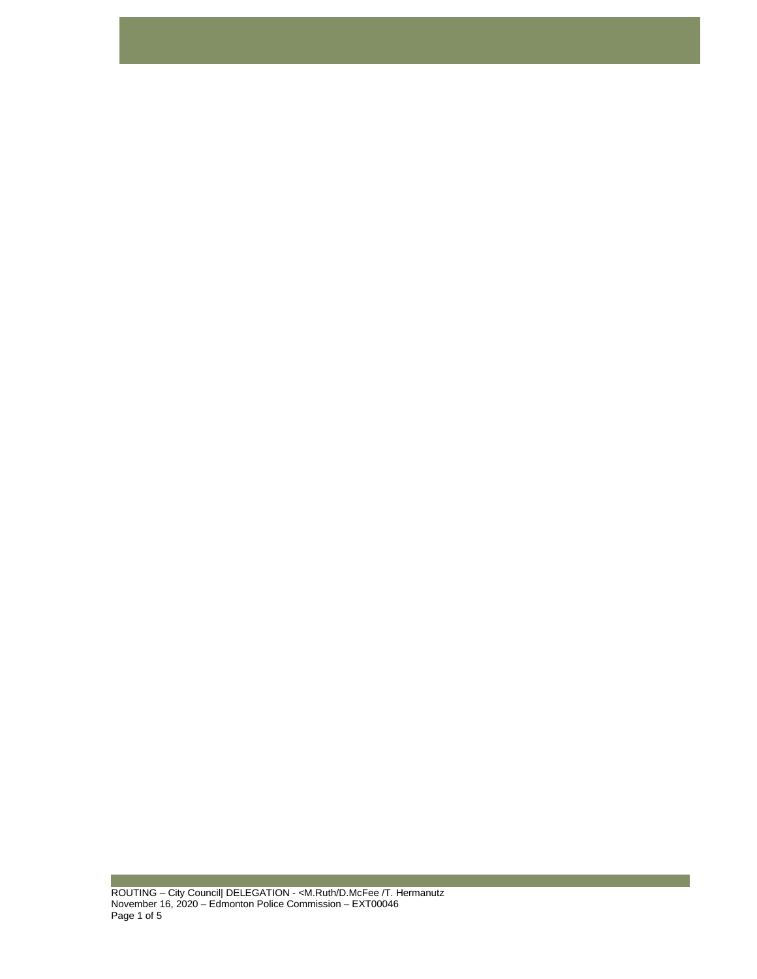#### ROUTING – City Council| DELEGATION - <M.Ruth/D.McFee /T. Hermanutz November 16, 2020 – Edmonton Police Commission – EXT00046 Page 1 of 5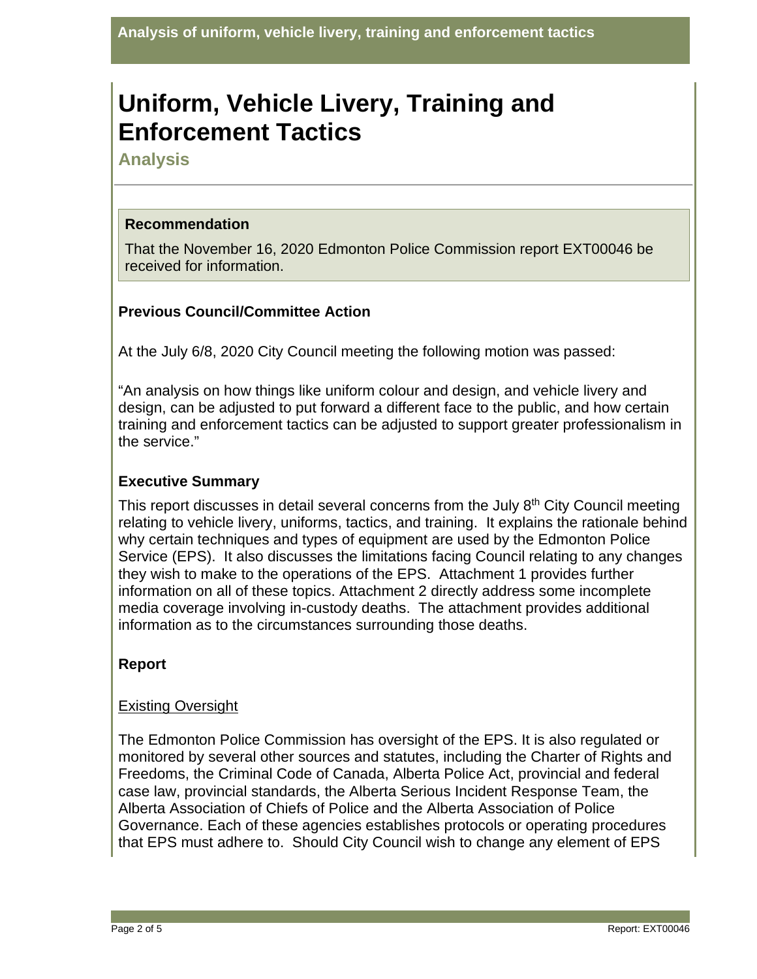# **Uniform, Vehicle Livery, Training and Enforcement Tactics**

**Analysis**

#### **Recommendation**

That the November 16, 2020 Edmonton Police Commission report EXT00046 be received for information.

# **Previous Council/Committee Action**

At the July 6/8, 2020 City Council meeting the following motion was passed:

"An analysis on how things like uniform colour and design, and vehicle livery and design, can be adjusted to put forward a different face to the public, and how certain training and enforcement tactics can be adjusted to support greater professionalism in the service."

# **Executive Summary**

This report discusses in detail several concerns from the July 8<sup>th</sup> City Council meeting relating to vehicle livery, uniforms, tactics, and training. It explains the rationale behind why certain techniques and types of equipment are used by the Edmonton Police Service (EPS). It also discusses the limitations facing Council relating to any changes they wish to make to the operations of the EPS. Attachment 1 provides further information on all of these topics. Attachment 2 directly address some incomplete media coverage involving in-custody deaths. The attachment provides additional information as to the circumstances surrounding those deaths.

### **Report**

### Existing Oversight

The Edmonton Police Commission has oversight of the EPS. It is also regulated or monitored by several other sources and statutes, including the Charter of Rights and Freedoms, the Criminal Code of Canada, Alberta Police Act, provincial and federal case law, provincial standards, the Alberta Serious Incident Response Team, the Alberta Association of Chiefs of Police and the Alberta Association of Police Governance. Each of these agencies establishes protocols or operating procedures that EPS must adhere to. Should City Council wish to change any element of EPS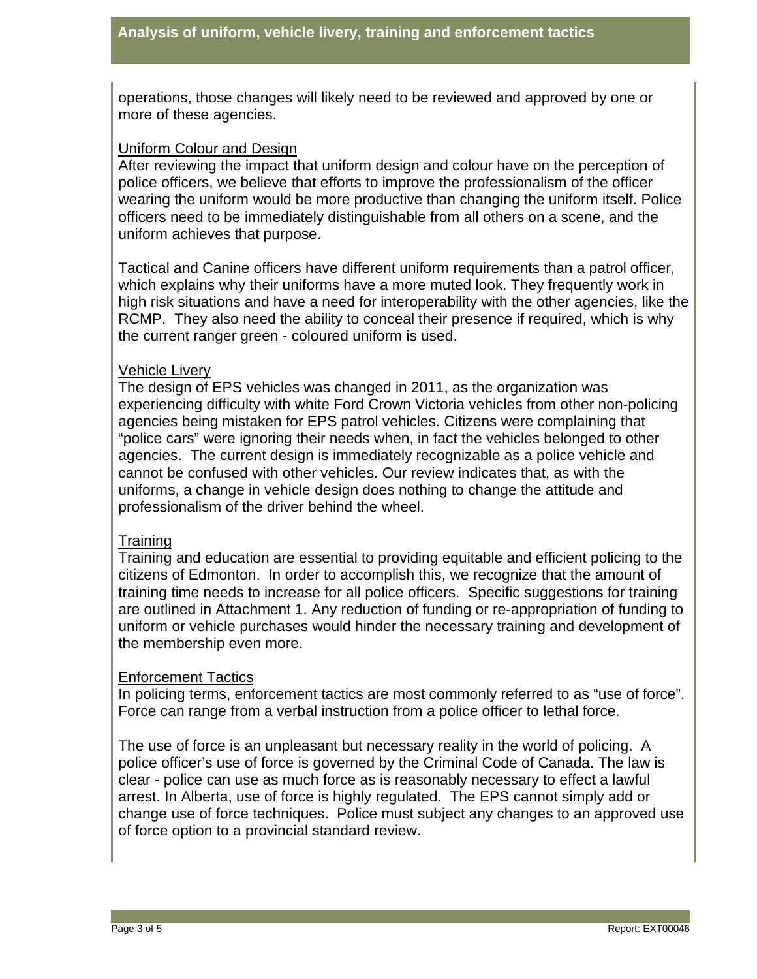operations, those changes will likely need to be reviewed and approved by one or more of these agencies.

#### Uniform Colour and Design

After reviewing the impact that uniform design and colour have on the perception of police officers, we believe that efforts to improve the professionalism of the officer wearing the uniform would be more productive than changing the uniform itself. Police officers need to be immediately distinguishable from all others on a scene, and the uniform achieves that purpose.

Tactical and Canine officers have different uniform requirements than a patrol officer, which explains why their uniforms have a more muted look. They frequently work in high risk situations and have a need for interoperability with the other agencies, like the RCMP. They also need the ability to conceal their presence if required, which is why the current ranger green - coloured uniform is used.

#### Vehicle Livery

The design of EPS vehicles was changed in 2011, as the organization was experiencing difficulty with white Ford Crown Victoria vehicles from other non-policing agencies being mistaken for EPS patrol vehicles. Citizens were complaining that "police cars" were ignoring their needs when, in fact the vehicles belonged to other agencies. The current design is immediately recognizable as a police vehicle and cannot be confused with other vehicles. Our review indicates that, as with the uniforms, a change in vehicle design does nothing to change the attitude and professionalism of the driver behind the wheel.

### Training

Training and education are essential to providing equitable and efficient policing to the citizens of Edmonton. In order to accomplish this, we recognize that the amount of training time needs to increase for all police officers. Specific suggestions for training are outlined in Attachment 1. Any reduction of funding or re-appropriation of funding to uniform or vehicle purchases would hinder the necessary training and development of the membership even more.

### Enforcement Tactics

In policing terms, enforcement tactics are most commonly referred to as "use of force". Force can range from a verbal instruction from a police officer to lethal force.

The use of force is an unpleasant but necessary reality in the world of policing. A police officer's use of force is governed by the Criminal Code of Canada. The law is clear - police can use as much force as is reasonably necessary to effect a lawful arrest. In Alberta, use of force is highly regulated. The EPS cannot simply add or change use of force techniques. Police must subject any changes to an approved use of force option to a provincial standard review.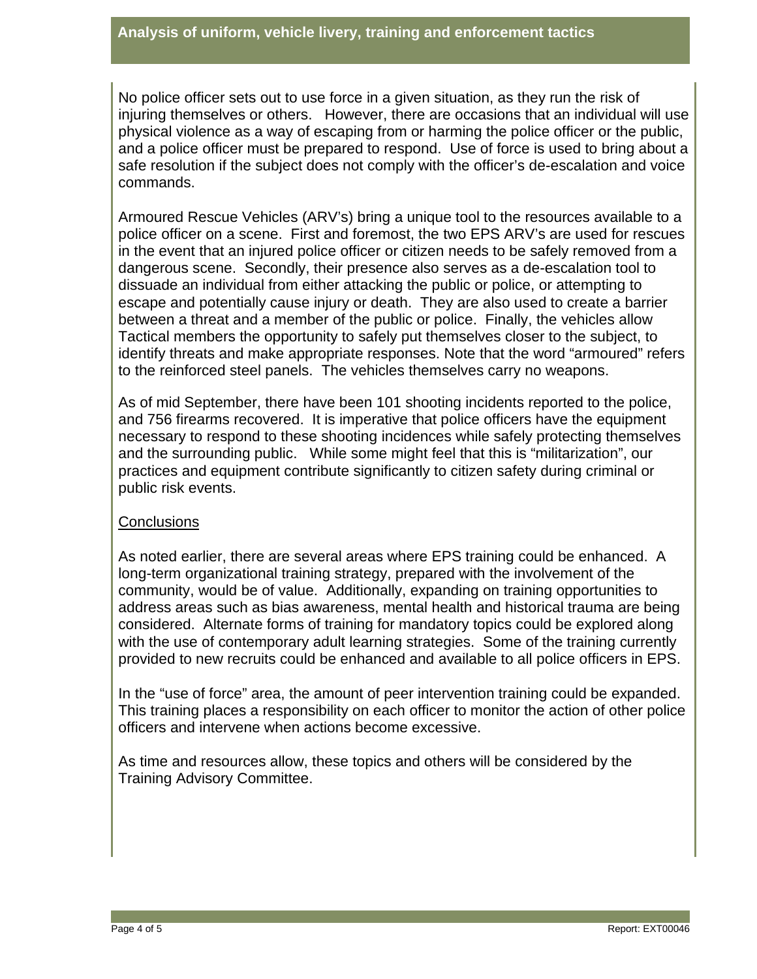No police officer sets out to use force in a given situation, as they run the risk of injuring themselves or others. However, there are occasions that an individual will use physical violence as a way of escaping from or harming the police officer or the public, and a police officer must be prepared to respond. Use of force is used to bring about a safe resolution if the subject does not comply with the officer's de-escalation and voice commands.

Armoured Rescue Vehicles (ARV's) bring a unique tool to the resources available to a police officer on a scene. First and foremost, the two EPS ARV's are used for rescues in the event that an injured police officer or citizen needs to be safely removed from a dangerous scene. Secondly, their presence also serves as a de-escalation tool to dissuade an individual from either attacking the public or police, or attempting to escape and potentially cause injury or death. They are also used to create a barrier between a threat and a member of the public or police. Finally, the vehicles allow Tactical members the opportunity to safely put themselves closer to the subject, to identify threats and make appropriate responses. Note that the word "armoured" refers to the reinforced steel panels. The vehicles themselves carry no weapons.

As of mid September, there have been 101 shooting incidents reported to the police, and 756 firearms recovered. It is imperative that police officers have the equipment necessary to respond to these shooting incidences while safely protecting themselves and the surrounding public. While some might feel that this is "militarization", our practices and equipment contribute significantly to citizen safety during criminal or public risk events.

# **Conclusions**

As noted earlier, there are several areas where EPS training could be enhanced. A long-term organizational training strategy, prepared with the involvement of the community, would be of value. Additionally, expanding on training opportunities to address areas such as bias awareness, mental health and historical trauma are being considered. Alternate forms of training for mandatory topics could be explored along with the use of contemporary adult learning strategies. Some of the training currently provided to new recruits could be enhanced and available to all police officers in EPS.

In the "use of force" area, the amount of peer intervention training could be expanded. This training places a responsibility on each officer to monitor the action of other police officers and intervene when actions become excessive.

As time and resources allow, these topics and others will be considered by the Training Advisory Committee.